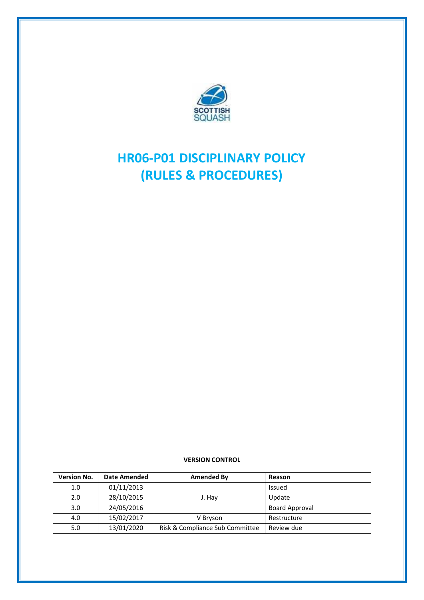

# **HR06-P01 DISCIPLINARY POLICY (RULES & PROCEDURES)**

#### **VERSION CONTROL**

| <b>Version No.</b> | <b>Date Amended</b> | Amended By                      | Reason                |
|--------------------|---------------------|---------------------------------|-----------------------|
| 1.0                | 01/11/2013          |                                 | Issued                |
| 2.0                | 28/10/2015          | J. Hav                          | Update                |
| 3.0                | 24/05/2016          |                                 | <b>Board Approval</b> |
| 4.0                | 15/02/2017          | V Bryson                        | Restructure           |
| 5.0                | 13/01/2020          | Risk & Compliance Sub Committee | Review due            |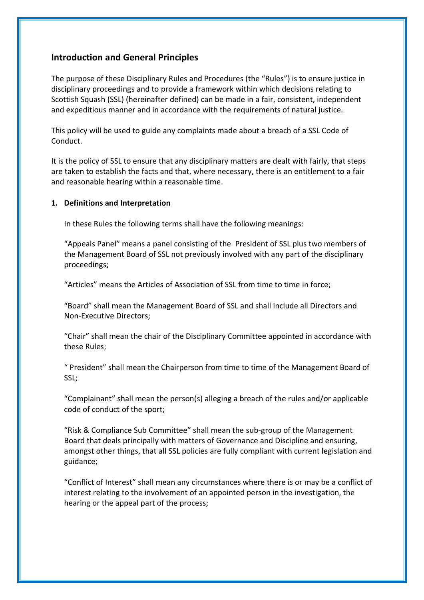# **Introduction and General Principles**

The purpose of these Disciplinary Rules and Procedures (the "Rules") is to ensure justice in disciplinary proceedings and to provide a framework within which decisions relating to Scottish Squash (SSL) (hereinafter defined) can be made in a fair, consistent, independent and expeditious manner and in accordance with the requirements of natural justice.

This policy will be used to guide any complaints made about a breach of a SSL Code of Conduct.

It is the policy of SSL to ensure that any disciplinary matters are dealt with fairly, that steps are taken to establish the facts and that, where necessary, there is an entitlement to a fair and reasonable hearing within a reasonable time.

#### **1. Definitions and Interpretation**

In these Rules the following terms shall have the following meanings:

"Appeals Panel" means a panel consisting of the President of SSL plus two members of the Management Board of SSL not previously involved with any part of the disciplinary proceedings;

"Articles" means the Articles of Association of SSL from time to time in force;

"Board" shall mean the Management Board of SSL and shall include all Directors and Non-Executive Directors;

"Chair" shall mean the chair of the Disciplinary Committee appointed in accordance with these Rules;

" President" shall mean the Chairperson from time to time of the Management Board of SSL;

"Complainant" shall mean the person(s) alleging a breach of the rules and/or applicable code of conduct of the sport;

"Risk & Compliance Sub Committee" shall mean the sub-group of the Management Board that deals principally with matters of Governance and Discipline and ensuring, amongst other things, that all SSL policies are fully compliant with current legislation and guidance;

"Conflict of Interest" shall mean any circumstances where there is or may be a conflict of interest relating to the involvement of an appointed person in the investigation, the hearing or the appeal part of the process;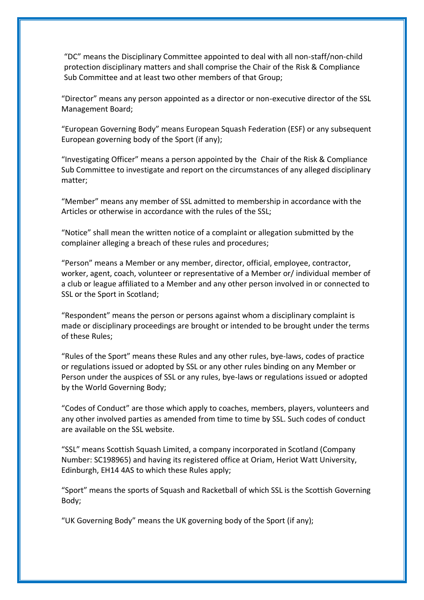"DC" means the Disciplinary Committee appointed to deal with all non-staff/non-child protection disciplinary matters and shall comprise the Chair of the Risk & Compliance Sub Committee and at least two other members of that Group;

"Director" means any person appointed as a director or non-executive director of the SSL Management Board;

"European Governing Body" means European Squash Federation (ESF) or any subsequent European governing body of the Sport (if any);

"Investigating Officer" means a person appointed by the Chair of the Risk & Compliance Sub Committee to investigate and report on the circumstances of any alleged disciplinary matter;

"Member" means any member of SSL admitted to membership in accordance with the Articles or otherwise in accordance with the rules of the SSL;

"Notice" shall mean the written notice of a complaint or allegation submitted by the complainer alleging a breach of these rules and procedures;

"Person" means a Member or any member, director, official, employee, contractor, worker, agent, coach, volunteer or representative of a Member or/ individual member of a club or league affiliated to a Member and any other person involved in or connected to SSL or the Sport in Scotland;

"Respondent" means the person or persons against whom a disciplinary complaint is made or disciplinary proceedings are brought or intended to be brought under the terms of these Rules;

"Rules of the Sport" means these Rules and any other rules, bye-laws, codes of practice or regulations issued or adopted by SSL or any other rules binding on any Member or Person under the auspices of SSL or any rules, bye-laws or regulations issued or adopted by the World Governing Body;

"Codes of Conduct" are those which apply to coaches, members, players, volunteers and any other involved parties as amended from time to time by SSL. Such codes of conduct are available on the SSL website.

"SSL" means Scottish Squash Limited, a company incorporated in Scotland (Company Number: SC198965) and having its registered office at Oriam, Heriot Watt University, Edinburgh, EH14 4AS to which these Rules apply;

"Sport" means the sports of Squash and Racketball of which SSL is the Scottish Governing Body;

"UK Governing Body" means the UK governing body of the Sport (if any);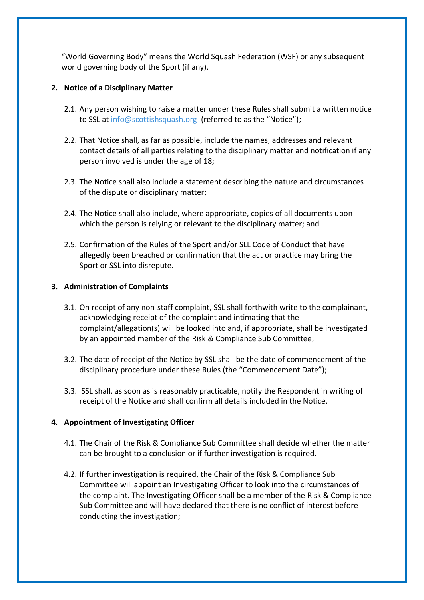"World Governing Body" means the World Squash Federation (WSF) or any subsequent world governing body of the Sport (if any).

## **2. Notice of a Disciplinary Matter**

- 2.1. Any person wishing to raise a matter under these Rules shall submit a written notice to SSL at [info@scottishsquash.org](mailto:info@scottisshquash.org) (referred to as the "Notice");
- 2.2. That Notice shall, as far as possible, include the names, addresses and relevant contact details of all parties relating to the disciplinary matter and notification if any person involved is under the age of 18;
- 2.3. The Notice shall also include a statement describing the nature and circumstances of the dispute or disciplinary matter;
- 2.4. The Notice shall also include, where appropriate, copies of all documents upon which the person is relying or relevant to the disciplinary matter; and
- 2.5. Confirmation of the Rules of the Sport and/or SLL Code of Conduct that have allegedly been breached or confirmation that the act or practice may bring the Sport or SSL into disrepute.

## **3. Administration of Complaints**

- 3.1. On receipt of any non-staff complaint, SSL shall forthwith write to the complainant, acknowledging receipt of the complaint and intimating that the complaint/allegation(s) will be looked into and, if appropriate, shall be investigated by an appointed member of the Risk & Compliance Sub Committee;
- 3.2. The date of receipt of the Notice by SSL shall be the date of commencement of the disciplinary procedure under these Rules (the "Commencement Date");
- 3.3. SSL shall, as soon as is reasonably practicable, notify the Respondent in writing of receipt of the Notice and shall confirm all details included in the Notice.

## **4. Appointment of Investigating Officer**

- 4.1. The Chair of the Risk & Compliance Sub Committee shall decide whether the matter can be brought to a conclusion or if further investigation is required.
- 4.2. If further investigation is required, the Chair of the Risk & Compliance Sub Committee will appoint an Investigating Officer to look into the circumstances of the complaint. The Investigating Officer shall be a member of the Risk & Compliance Sub Committee and will have declared that there is no conflict of interest before conducting the investigation;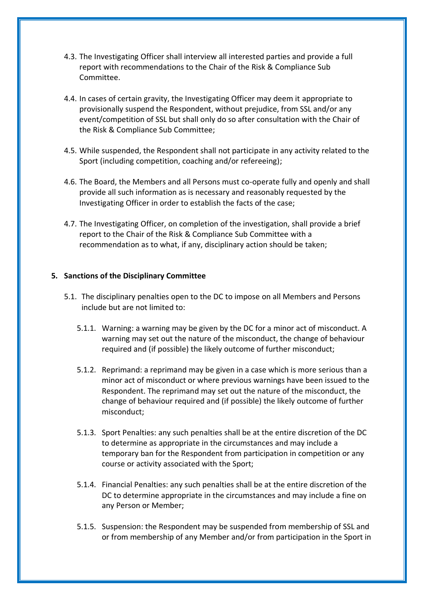- 4.3. The Investigating Officer shall interview all interested parties and provide a full report with recommendations to the Chair of the Risk & Compliance Sub Committee.
- 4.4. In cases of certain gravity, the Investigating Officer may deem it appropriate to provisionally suspend the Respondent, without prejudice, from SSL and/or any event/competition of SSL but shall only do so after consultation with the Chair of the Risk & Compliance Sub Committee;
- 4.5. While suspended, the Respondent shall not participate in any activity related to the Sport (including competition, coaching and/or refereeing);
- 4.6. The Board, the Members and all Persons must co-operate fully and openly and shall provide all such information as is necessary and reasonably requested by the Investigating Officer in order to establish the facts of the case;
- 4.7. The Investigating Officer, on completion of the investigation, shall provide a brief report to the Chair of the Risk & Compliance Sub Committee with a recommendation as to what, if any, disciplinary action should be taken;

#### **5. Sanctions of the Disciplinary Committee**

- 5.1. The disciplinary penalties open to the DC to impose on all Members and Persons include but are not limited to:
	- 5.1.1. Warning: a warning may be given by the DC for a minor act of misconduct. A warning may set out the nature of the misconduct, the change of behaviour required and (if possible) the likely outcome of further misconduct;
	- 5.1.2. Reprimand: a reprimand may be given in a case which is more serious than a minor act of misconduct or where previous warnings have been issued to the Respondent. The reprimand may set out the nature of the misconduct, the change of behaviour required and (if possible) the likely outcome of further misconduct;
	- 5.1.3. Sport Penalties: any such penalties shall be at the entire discretion of the DC to determine as appropriate in the circumstances and may include a temporary ban for the Respondent from participation in competition or any course or activity associated with the Sport;
	- 5.1.4. Financial Penalties: any such penalties shall be at the entire discretion of the DC to determine appropriate in the circumstances and may include a fine on any Person or Member;
	- 5.1.5. Suspension: the Respondent may be suspended from membership of SSL and or from membership of any Member and/or from participation in the Sport in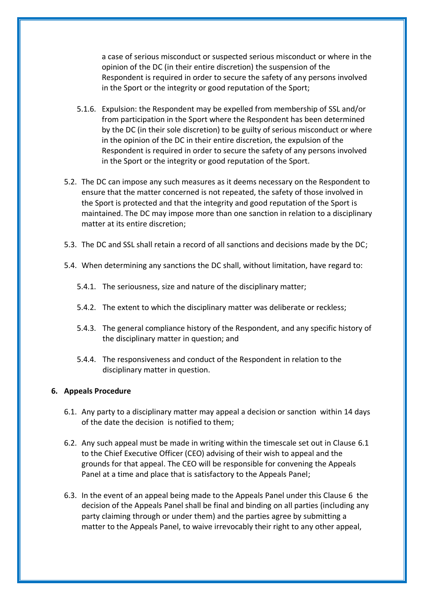a case of serious misconduct or suspected serious misconduct or where in the opinion of the DC (in their entire discretion) the suspension of the Respondent is required in order to secure the safety of any persons involved in the Sport or the integrity or good reputation of the Sport;

- 5.1.6. Expulsion: the Respondent may be expelled from membership of SSL and/or from participation in the Sport where the Respondent has been determined by the DC (in their sole discretion) to be guilty of serious misconduct or where in the opinion of the DC in their entire discretion, the expulsion of the Respondent is required in order to secure the safety of any persons involved in the Sport or the integrity or good reputation of the Sport.
- 5.2. The DC can impose any such measures as it deems necessary on the Respondent to ensure that the matter concerned is not repeated, the safety of those involved in the Sport is protected and that the integrity and good reputation of the Sport is maintained. The DC may impose more than one sanction in relation to a disciplinary matter at its entire discretion;
- 5.3. The DC and SSL shall retain a record of all sanctions and decisions made by the DC;
- 5.4. When determining any sanctions the DC shall, without limitation, have regard to:
	- 5.4.1. The seriousness, size and nature of the disciplinary matter;
	- 5.4.2. The extent to which the disciplinary matter was deliberate or reckless;
	- 5.4.3. The general compliance history of the Respondent, and any specific history of the disciplinary matter in question; and
	- 5.4.4. The responsiveness and conduct of the Respondent in relation to the disciplinary matter in question.

#### **6. Appeals Procedure**

- 6.1. Any party to a disciplinary matter may appeal a decision or sanction within 14 days of the date the decision is notified to them;
- 6.2. Any such appeal must be made in writing within the timescale set out in Clause 6.1 to the Chief Executive Officer (CEO) advising of their wish to appeal and the grounds for that appeal. The CEO will be responsible for convening the Appeals Panel at a time and place that is satisfactory to the Appeals Panel;
- 6.3. In the event of an appeal being made to the Appeals Panel under this Clause 6 the decision of the Appeals Panel shall be final and binding on all parties (including any party claiming through or under them) and the parties agree by submitting a matter to the Appeals Panel, to waive irrevocably their right to any other appeal,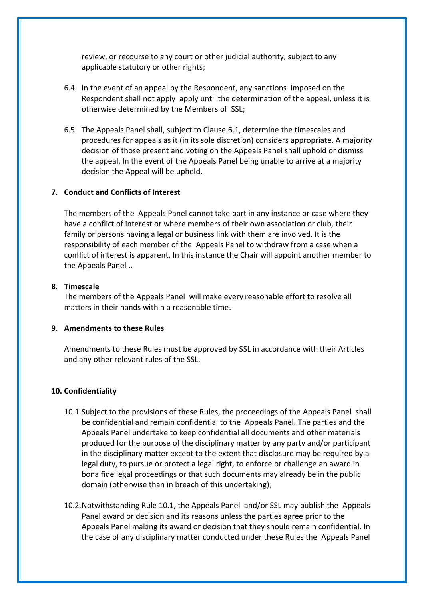review, or recourse to any court or other judicial authority, subject to any applicable statutory or other rights;

- 6.4. In the event of an appeal by the Respondent, any sanctions imposed on the Respondent shall not apply apply until the determination of the appeal, unless it is otherwise determined by the Members of SSL;
- 6.5. The Appeals Panel shall, subject to Clause 6.1, determine the timescales and procedures for appeals as it (in its sole discretion) considers appropriate. A majority decision of those present and voting on the Appeals Panel shall uphold or dismiss the appeal. In the event of the Appeals Panel being unable to arrive at a majority decision the Appeal will be upheld.

#### **7. Conduct and Conflicts of Interest**

The members of the Appeals Panel cannot take part in any instance or case where they have a conflict of interest or where members of their own association or club, their family or persons having a legal or business link with them are involved. It is the responsibility of each member of the Appeals Panel to withdraw from a case when a conflict of interest is apparent. In this instance the Chair will appoint another member to the Appeals Panel ..

#### **8. Timescale**

The members of the Appeals Panel will make every reasonable effort to resolve all matters in their hands within a reasonable time.

#### **9. Amendments to these Rules**

Amendments to these Rules must be approved by SSL in accordance with their Articles and any other relevant rules of the SSL.

#### **10. Confidentiality**

- 10.1.Subject to the provisions of these Rules, the proceedings of the Appeals Panel shall be confidential and remain confidential to the Appeals Panel. The parties and the Appeals Panel undertake to keep confidential all documents and other materials produced for the purpose of the disciplinary matter by any party and/or participant in the disciplinary matter except to the extent that disclosure may be required by a legal duty, to pursue or protect a legal right, to enforce or challenge an award in bona fide legal proceedings or that such documents may already be in the public domain (otherwise than in breach of this undertaking);
- 10.2.Notwithstanding Rule 10.1, the Appeals Panel and/or SSL may publish the Appeals Panel award or decision and its reasons unless the parties agree prior to the Appeals Panel making its award or decision that they should remain confidential. In the case of any disciplinary matter conducted under these Rules the Appeals Panel